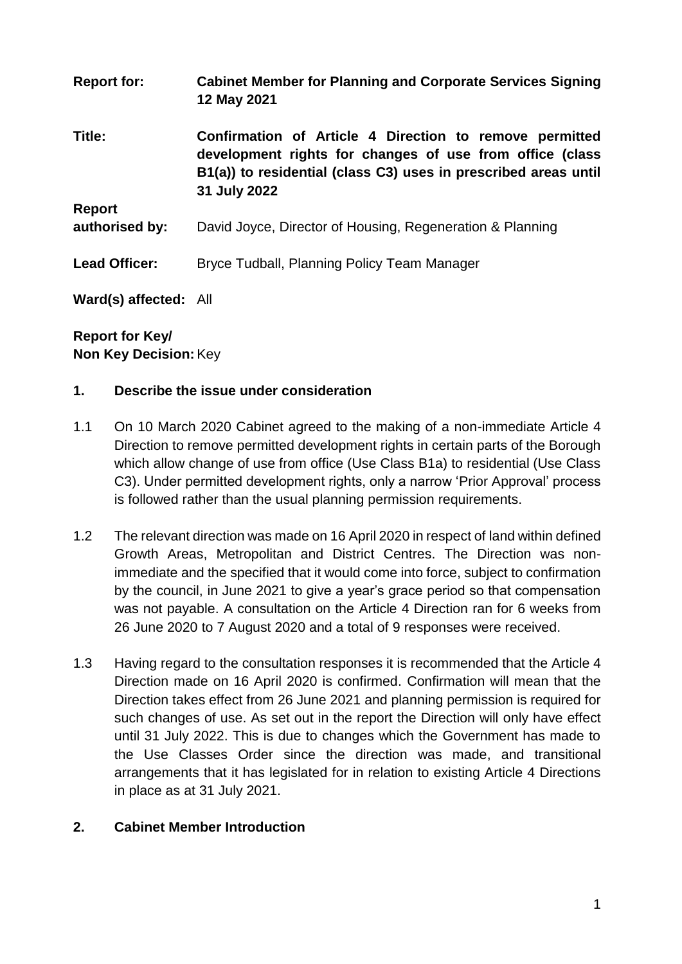| <b>Report for:</b>    | <b>Cabinet Member for Planning and Corporate Services Signing</b><br>12 May 2021                                                                                                                       |
|-----------------------|--------------------------------------------------------------------------------------------------------------------------------------------------------------------------------------------------------|
| Title:                | Confirmation of Article 4 Direction to remove permitted<br>development rights for changes of use from office (class<br>B1(a)) to residential (class C3) uses in prescribed areas until<br>31 July 2022 |
| <b>Report</b>         |                                                                                                                                                                                                        |
| authorised by:        | David Joyce, Director of Housing, Regeneration & Planning                                                                                                                                              |
| <b>Lead Officer:</b>  | Bryce Tudball, Planning Policy Team Manager                                                                                                                                                            |
| Ward(s) affected: All |                                                                                                                                                                                                        |

### **Report for Key/ Non Key Decision:**Key

#### **1. Describe the issue under consideration**

- 1.1 On 10 March 2020 Cabinet agreed to the making of a non-immediate Article 4 Direction to remove permitted development rights in certain parts of the Borough which allow change of use from office (Use Class B1a) to residential (Use Class C3). Under permitted development rights, only a narrow 'Prior Approval' process is followed rather than the usual planning permission requirements.
- 1.2 The relevant direction was made on 16 April 2020 in respect of land within defined Growth Areas, Metropolitan and District Centres. The Direction was nonimmediate and the specified that it would come into force, subject to confirmation by the council, in June 2021 to give a year's grace period so that compensation was not payable. A consultation on the Article 4 Direction ran for 6 weeks from 26 June 2020 to 7 August 2020 and a total of 9 responses were received.
- 1.3 Having regard to the consultation responses it is recommended that the Article 4 Direction made on 16 April 2020 is confirmed. Confirmation will mean that the Direction takes effect from 26 June 2021 and planning permission is required for such changes of use. As set out in the report the Direction will only have effect until 31 July 2022. This is due to changes which the Government has made to the Use Classes Order since the direction was made, and transitional arrangements that it has legislated for in relation to existing Article 4 Directions in place as at 31 July 2021.

#### **2. Cabinet Member Introduction**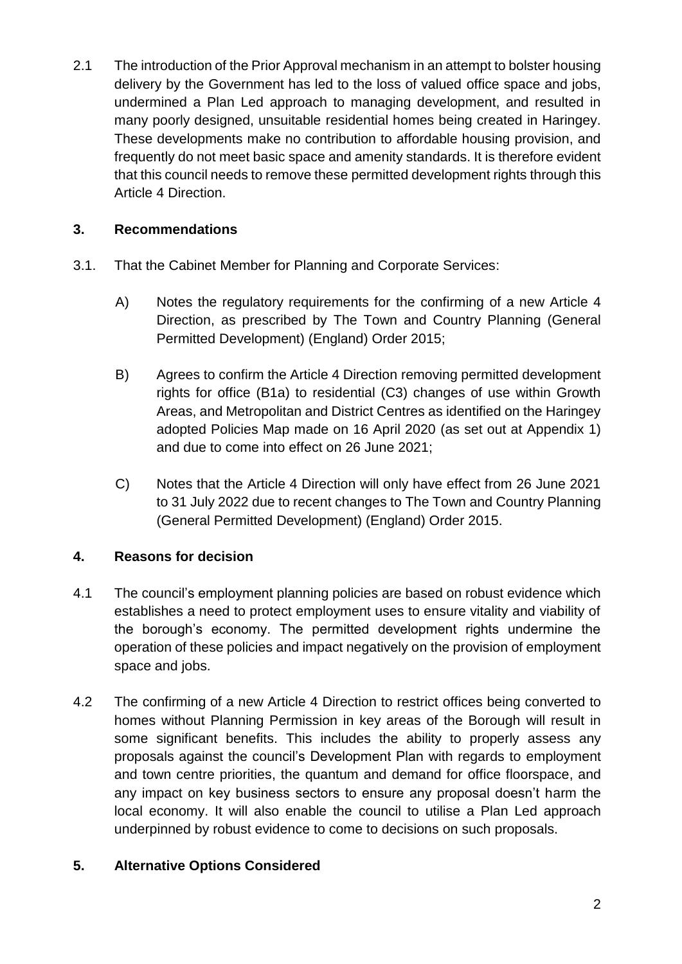2.1 The introduction of the Prior Approval mechanism in an attempt to bolster housing delivery by the Government has led to the loss of valued office space and jobs, undermined a Plan Led approach to managing development, and resulted in many poorly designed, unsuitable residential homes being created in Haringey. These developments make no contribution to affordable housing provision, and frequently do not meet basic space and amenity standards. It is therefore evident that this council needs to remove these permitted development rights through this Article 4 Direction.

# **3. Recommendations**

- 3.1. That the Cabinet Member for Planning and Corporate Services:
	- A) Notes the regulatory requirements for the confirming of a new Article 4 Direction, as prescribed by The Town and Country Planning (General Permitted Development) (England) Order 2015;
	- B) Agrees to confirm the Article 4 Direction removing permitted development rights for office (B1a) to residential (C3) changes of use within Growth Areas, and Metropolitan and District Centres as identified on the Haringey adopted Policies Map made on 16 April 2020 (as set out at Appendix 1) and due to come into effect on 26 June 2021;
	- C) Notes that the Article 4 Direction will only have effect from 26 June 2021 to 31 July 2022 due to recent changes to The Town and Country Planning (General Permitted Development) (England) Order 2015.

# **4. Reasons for decision**

- 4.1 The council's employment planning policies are based on robust evidence which establishes a need to protect employment uses to ensure vitality and viability of the borough's economy. The permitted development rights undermine the operation of these policies and impact negatively on the provision of employment space and jobs.
- 4.2 The confirming of a new Article 4 Direction to restrict offices being converted to homes without Planning Permission in key areas of the Borough will result in some significant benefits. This includes the ability to properly assess any proposals against the council's Development Plan with regards to employment and town centre priorities, the quantum and demand for office floorspace, and any impact on key business sectors to ensure any proposal doesn't harm the local economy. It will also enable the council to utilise a Plan Led approach underpinned by robust evidence to come to decisions on such proposals.

# **5. Alternative Options Considered**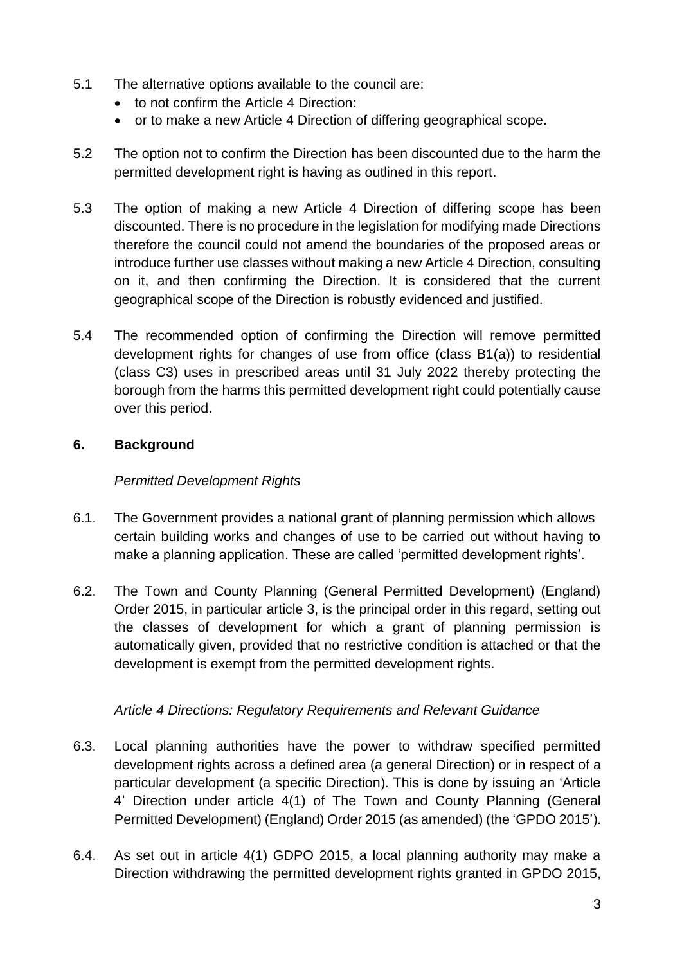- 5.1 The alternative options available to the council are:
	- to not confirm the Article 4 Direction:
	- or to make a new Article 4 Direction of differing geographical scope.
- 5.2 The option not to confirm the Direction has been discounted due to the harm the permitted development right is having as outlined in this report.
- 5.3 The option of making a new Article 4 Direction of differing scope has been discounted. There is no procedure in the legislation for modifying made Directions therefore the council could not amend the boundaries of the proposed areas or introduce further use classes without making a new Article 4 Direction, consulting on it, and then confirming the Direction. It is considered that the current geographical scope of the Direction is robustly evidenced and justified.
- 5.4 The recommended option of confirming the Direction will remove permitted development rights for changes of use from office (class B1(a)) to residential (class C3) uses in prescribed areas until 31 July 2022 thereby protecting the borough from the harms this permitted development right could potentially cause over this period.

# **6. Background**

### *Permitted Development Rights*

- 6.1. The Government provides a national grant of planning permission which allows certain building works and changes of use to be carried out without having to make a planning application. These are called 'permitted development rights'.
- 6.2. The Town and County Planning (General Permitted Development) (England) Order 2015, in particular article 3, is the principal order in this regard, setting out the classes of development for which a grant of planning permission is automatically given, provided that no restrictive condition is attached or that the development is exempt from the permitted development rights.

# *Article 4 Directions: Regulatory Requirements and Relevant Guidance*

- 6.3. Local planning authorities have the power to withdraw specified permitted development rights across a defined area (a general Direction) or in respect of a particular development (a specific Direction). This is done by issuing an 'Article 4' Direction under article 4(1) of The Town and County Planning (General Permitted Development) (England) Order 2015 (as amended) (the 'GPDO 2015').
- 6.4. As set out in article 4(1) GDPO 2015, a local planning authority may make a Direction withdrawing the permitted development rights granted in GPDO 2015,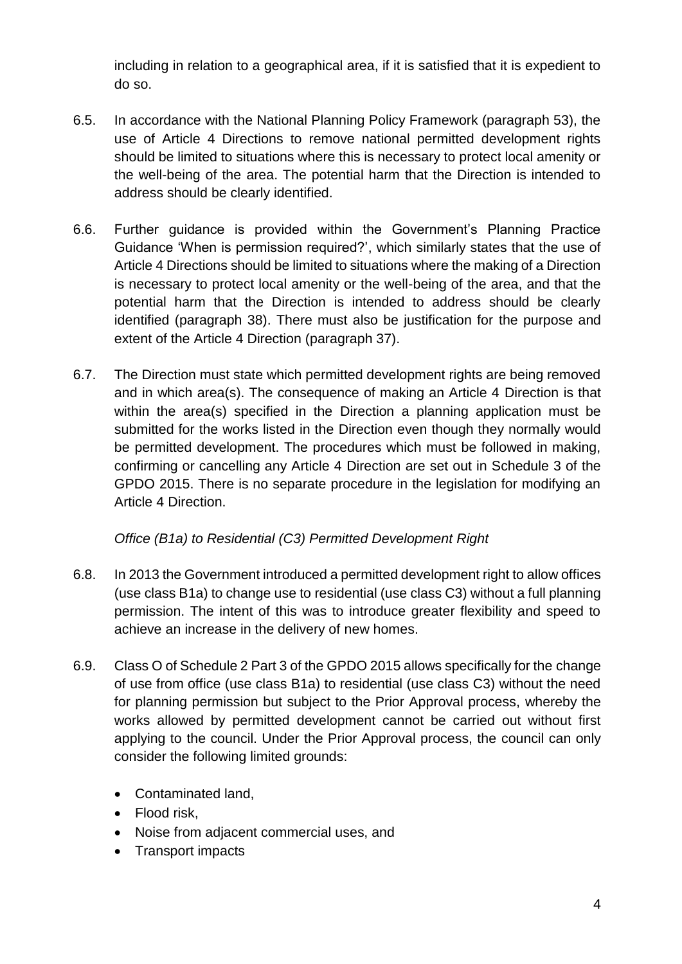including in relation to a geographical area, if it is satisfied that it is expedient to do so.

- 6.5. In accordance with the National Planning Policy Framework (paragraph 53), the use of Article 4 Directions to remove national permitted development rights should be limited to situations where this is necessary to protect local amenity or the well-being of the area. The potential harm that the Direction is intended to address should be clearly identified.
- 6.6. Further guidance is provided within the Government's Planning Practice Guidance 'When is permission required?', which similarly states that the use of Article 4 Directions should be limited to situations where the making of a Direction is necessary to protect local amenity or the well-being of the area, and that the potential harm that the Direction is intended to address should be clearly identified (paragraph 38). There must also be justification for the purpose and extent of the Article 4 Direction (paragraph 37).
- 6.7. The Direction must state which permitted development rights are being removed and in which area(s). The consequence of making an Article 4 Direction is that within the area(s) specified in the Direction a planning application must be submitted for the works listed in the Direction even though they normally would be permitted development. The procedures which must be followed in making, confirming or cancelling any Article 4 Direction are set out in Schedule 3 of the GPDO 2015. There is no separate procedure in the legislation for modifying an Article 4 Direction.

# *Office (B1a) to Residential (C3) Permitted Development Right*

- 6.8. In 2013 the Government introduced a permitted development right to allow offices (use class B1a) to change use to residential (use class C3) without a full planning permission. The intent of this was to introduce greater flexibility and speed to achieve an increase in the delivery of new homes.
- 6.9. Class O of Schedule 2 Part 3 of the GPDO 2015 allows specifically for the change of use from office (use class B1a) to residential (use class C3) without the need for planning permission but subject to the Prior Approval process, whereby the works allowed by permitted development cannot be carried out without first applying to the council. Under the Prior Approval process, the council can only consider the following limited grounds:
	- Contaminated land,
	- Flood risk,
	- Noise from adjacent commercial uses, and
	- Transport impacts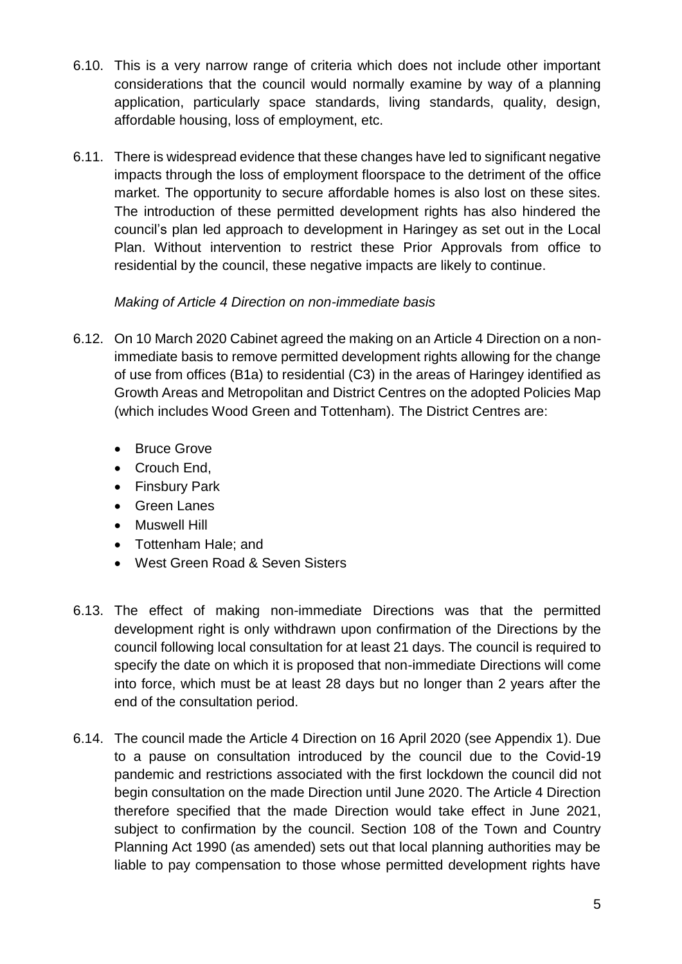- 6.10. This is a very narrow range of criteria which does not include other important considerations that the council would normally examine by way of a planning application, particularly space standards, living standards, quality, design, affordable housing, loss of employment, etc.
- 6.11. There is widespread evidence that these changes have led to significant negative impacts through the loss of employment floorspace to the detriment of the office market. The opportunity to secure affordable homes is also lost on these sites. The introduction of these permitted development rights has also hindered the council's plan led approach to development in Haringey as set out in the Local Plan. Without intervention to restrict these Prior Approvals from office to residential by the council, these negative impacts are likely to continue.

#### *Making of Article 4 Direction on non-immediate basis*

- 6.12. On 10 March 2020 Cabinet agreed the making on an Article 4 Direction on a nonimmediate basis to remove permitted development rights allowing for the change of use from offices (B1a) to residential (C3) in the areas of Haringey identified as Growth Areas and Metropolitan and District Centres on the adopted Policies Map (which includes Wood Green and Tottenham). The District Centres are:
	- Bruce Grove
	- Crouch End,
	- Finsbury Park
	- Green Lanes
	- Muswell Hill
	- Tottenham Hale; and
	- West Green Road & Seven Sisters
- 6.13. The effect of making non-immediate Directions was that the permitted development right is only withdrawn upon confirmation of the Directions by the council following local consultation for at least 21 days. The council is required to specify the date on which it is proposed that non-immediate Directions will come into force, which must be at least 28 days but no longer than 2 years after the end of the consultation period.
- 6.14. The council made the Article 4 Direction on 16 April 2020 (see Appendix 1). Due to a pause on consultation introduced by the council due to the Covid-19 pandemic and restrictions associated with the first lockdown the council did not begin consultation on the made Direction until June 2020. The Article 4 Direction therefore specified that the made Direction would take effect in June 2021, subject to confirmation by the council. Section 108 of the Town and Country Planning Act 1990 (as amended) sets out that local planning authorities may be liable to pay compensation to those whose permitted development rights have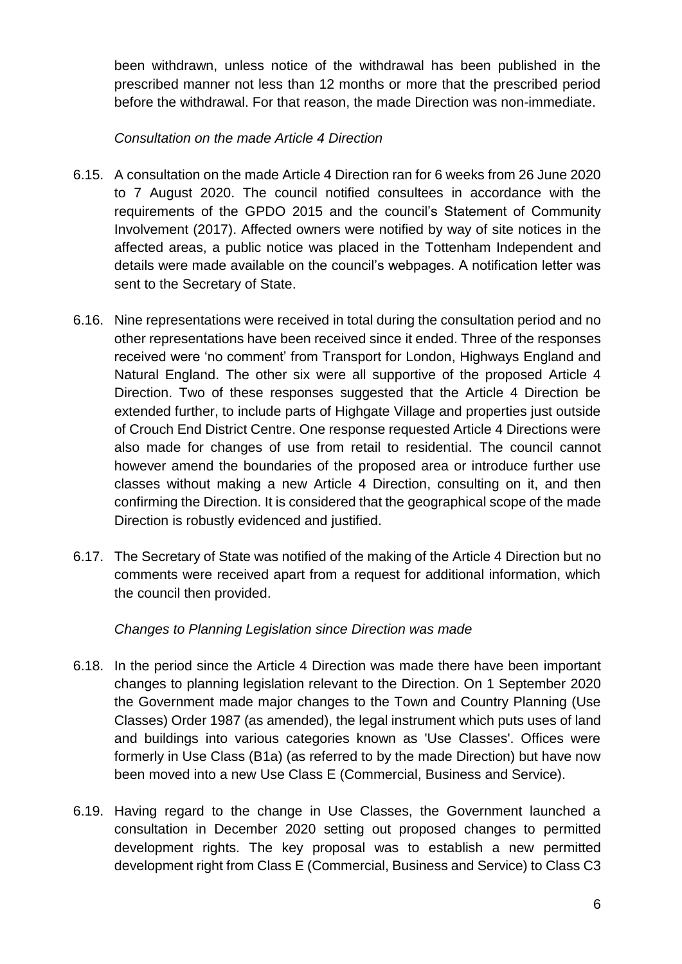been withdrawn, unless notice of the withdrawal has been published in the prescribed manner not less than 12 months or more that the prescribed period before the withdrawal. For that reason, the made Direction was non-immediate.

#### *Consultation on the made Article 4 Direction*

- 6.15. A consultation on the made Article 4 Direction ran for 6 weeks from 26 June 2020 to 7 August 2020. The council notified consultees in accordance with the requirements of the GPDO 2015 and the council's Statement of Community Involvement (2017). Affected owners were notified by way of site notices in the affected areas, a public notice was placed in the Tottenham Independent and details were made available on the council's webpages. A notification letter was sent to the Secretary of State.
- 6.16. Nine representations were received in total during the consultation period and no other representations have been received since it ended. Three of the responses received were 'no comment' from Transport for London, Highways England and Natural England. The other six were all supportive of the proposed Article 4 Direction. Two of these responses suggested that the Article 4 Direction be extended further, to include parts of Highgate Village and properties just outside of Crouch End District Centre. One response requested Article 4 Directions were also made for changes of use from retail to residential. The council cannot however amend the boundaries of the proposed area or introduce further use classes without making a new Article 4 Direction, consulting on it, and then confirming the Direction. It is considered that the geographical scope of the made Direction is robustly evidenced and justified.
- 6.17. The Secretary of State was notified of the making of the Article 4 Direction but no comments were received apart from a request for additional information, which the council then provided.

# *Changes to Planning Legislation since Direction was made*

- 6.18. In the period since the Article 4 Direction was made there have been important changes to planning legislation relevant to the Direction. On 1 September 2020 the Government made major changes to the Town and Country Planning (Use Classes) Order 1987 (as amended), the legal instrument which puts uses of land and buildings into various categories known as 'Use Classes'. Offices were formerly in Use Class (B1a) (as referred to by the made Direction) but have now been moved into a new Use Class E (Commercial, Business and Service).
- 6.19. Having regard to the change in Use Classes, the Government launched a consultation in December 2020 setting out proposed changes to permitted development rights. The key proposal was to establish a new permitted development right from Class E (Commercial, Business and Service) to Class C3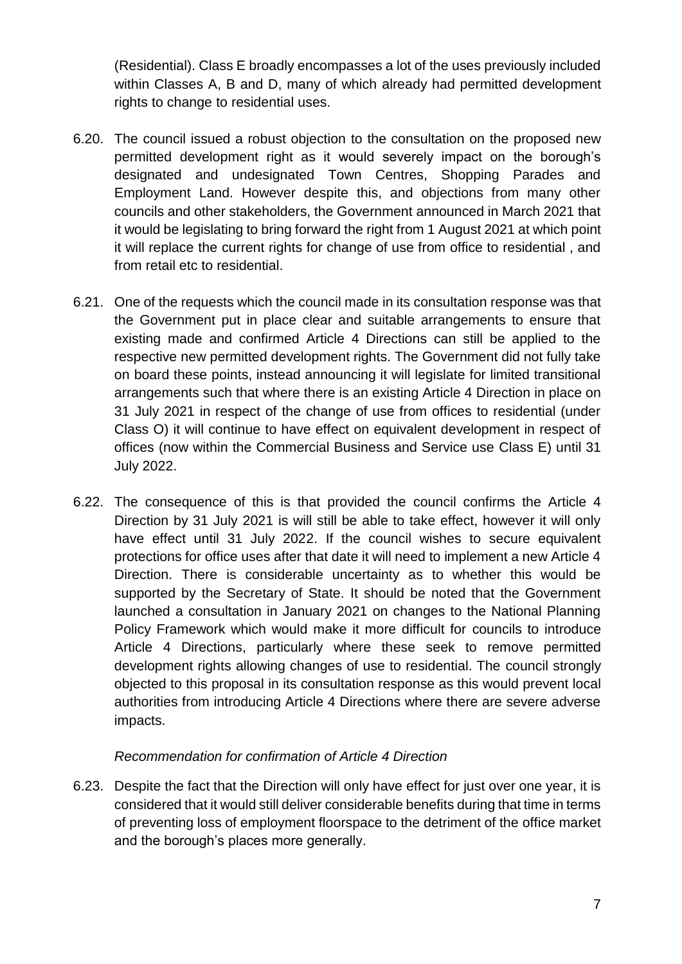(Residential). Class E broadly encompasses a lot of the uses previously included within Classes A, B and D, many of which already had permitted development rights to change to residential uses.

- 6.20. The council issued a robust objection to the consultation on the proposed new permitted development right as it would severely impact on the borough's designated and undesignated Town Centres, Shopping Parades and Employment Land. However despite this, and objections from many other councils and other stakeholders, the Government announced in March 2021 that it would be legislating to bring forward the right from 1 August 2021 at which point it will replace the current rights for change of use from office to residential , and from retail etc to residential.
- 6.21. One of the requests which the council made in its consultation response was that the Government put in place clear and suitable arrangements to ensure that existing made and confirmed Article 4 Directions can still be applied to the respective new permitted development rights. The Government did not fully take on board these points, instead announcing it will legislate for limited transitional arrangements such that where there is an existing Article 4 Direction in place on 31 July 2021 in respect of the change of use from offices to residential (under Class O) it will continue to have effect on equivalent development in respect of offices (now within the Commercial Business and Service use Class E) until 31 July 2022.
- 6.22. The consequence of this is that provided the council confirms the Article 4 Direction by 31 July 2021 is will still be able to take effect, however it will only have effect until 31 July 2022. If the council wishes to secure equivalent protections for office uses after that date it will need to implement a new Article 4 Direction. There is considerable uncertainty as to whether this would be supported by the Secretary of State. It should be noted that the Government launched a consultation in January 2021 on changes to the National Planning Policy Framework which would make it more difficult for councils to introduce Article 4 Directions, particularly where these seek to remove permitted development rights allowing changes of use to residential. The council strongly objected to this proposal in its consultation response as this would prevent local authorities from introducing Article 4 Directions where there are severe adverse impacts.

#### *Recommendation for confirmation of Article 4 Direction*

6.23. Despite the fact that the Direction will only have effect for just over one year, it is considered that it would still deliver considerable benefits during that time in terms of preventing loss of employment floorspace to the detriment of the office market and the borough's places more generally.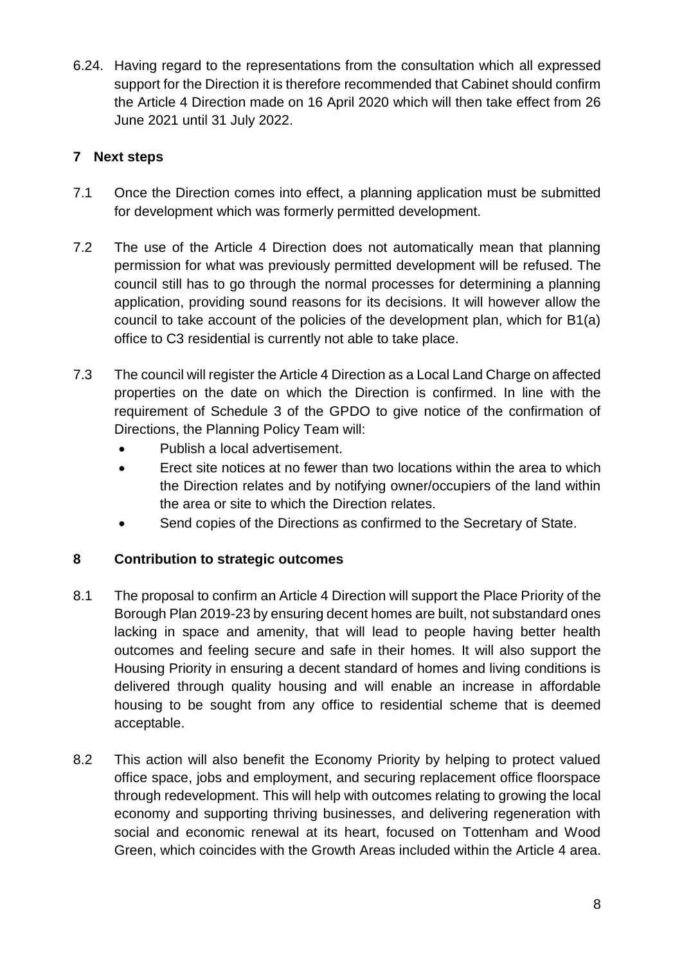6.24. Having regard to the representations from the consultation which all expressed support for the Direction it is therefore recommended that Cabinet should confirm the Article 4 Direction made on 16 April 2020 which will then take effect from 26 June 2021 until 31 July 2022.

# **7 Next steps**

- 7.1 Once the Direction comes into effect, a planning application must be submitted for development which was formerly permitted development.
- 7.2 The use of the Article 4 Direction does not automatically mean that planning permission for what was previously permitted development will be refused. The council still has to go through the normal processes for determining a planning application, providing sound reasons for its decisions. It will however allow the council to take account of the policies of the development plan, which for B1(a) office to C3 residential is currently not able to take place.
- 7.3 The council will register the Article 4 Direction as a Local Land Charge on affected properties on the date on which the Direction is confirmed. In line with the requirement of Schedule 3 of the GPDO to give notice of the confirmation of Directions, the Planning Policy Team will:
	- Publish a local advertisement.
	- Erect site notices at no fewer than two locations within the area to which the Direction relates and by notifying owner/occupiers of the land within the area or site to which the Direction relates.
	- Send copies of the Directions as confirmed to the Secretary of State.

# **8 Contribution to strategic outcomes**

- 8.1 The proposal to confirm an Article 4 Direction will support the Place Priority of the Borough Plan 2019-23 by ensuring decent homes are built, not substandard ones lacking in space and amenity, that will lead to people having better health outcomes and feeling secure and safe in their homes. It will also support the Housing Priority in ensuring a decent standard of homes and living conditions is delivered through quality housing and will enable an increase in affordable housing to be sought from any office to residential scheme that is deemed acceptable.
- 8.2 This action will also benefit the Economy Priority by helping to protect valued office space, jobs and employment, and securing replacement office floorspace through redevelopment. This will help with outcomes relating to growing the local economy and supporting thriving businesses, and delivering regeneration with social and economic renewal at its heart, focused on Tottenham and Wood Green, which coincides with the Growth Areas included within the Article 4 area.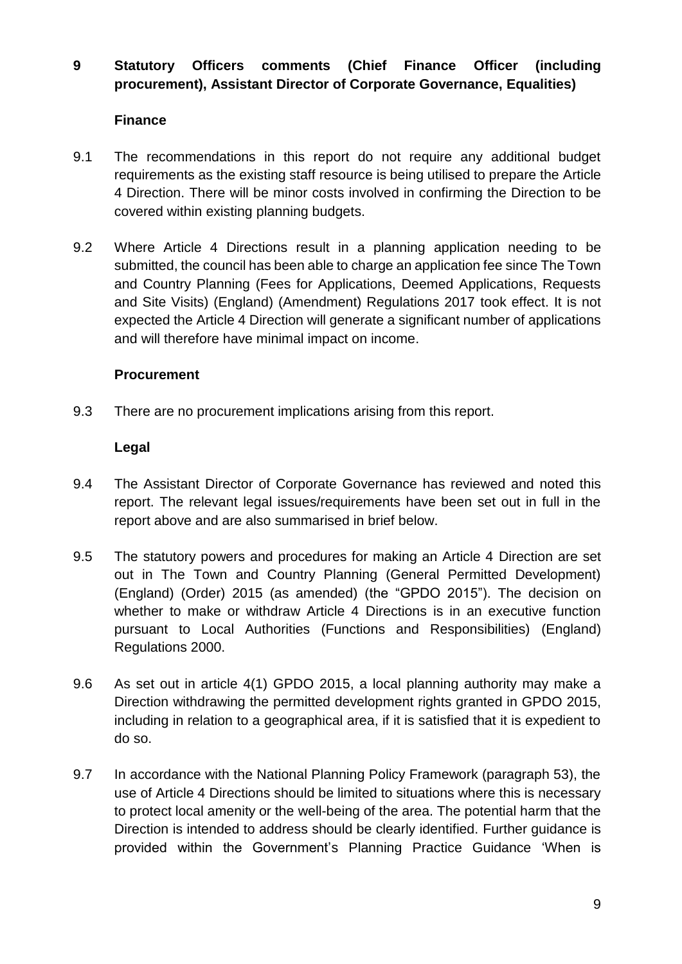# **9 Statutory Officers comments (Chief Finance Officer (including procurement), Assistant Director of Corporate Governance, Equalities)**

#### **Finance**

- 9.1 The recommendations in this report do not require any additional budget requirements as the existing staff resource is being utilised to prepare the Article 4 Direction. There will be minor costs involved in confirming the Direction to be covered within existing planning budgets.
- 9.2 Where Article 4 Directions result in a planning application needing to be submitted, the council has been able to charge an application fee since The Town and Country Planning (Fees for Applications, Deemed Applications, Requests and Site Visits) (England) (Amendment) Regulations 2017 took effect. It is not expected the Article 4 Direction will generate a significant number of applications and will therefore have minimal impact on income.

#### **Procurement**

9.3 There are no procurement implications arising from this report.

#### **Legal**

- 9.4 The Assistant Director of Corporate Governance has reviewed and noted this report. The relevant legal issues/requirements have been set out in full in the report above and are also summarised in brief below.
- 9.5 The statutory powers and procedures for making an Article 4 Direction are set out in The Town and Country Planning (General Permitted Development) (England) (Order) 2015 (as amended) (the "GPDO 2015"). The decision on whether to make or withdraw Article 4 Directions is in an executive function pursuant to Local Authorities (Functions and Responsibilities) (England) Regulations 2000.
- 9.6 As set out in article 4(1) GPDO 2015, a local planning authority may make a Direction withdrawing the permitted development rights granted in GPDO 2015, including in relation to a geographical area, if it is satisfied that it is expedient to do so.
- 9.7 In accordance with the National Planning Policy Framework (paragraph 53), the use of Article 4 Directions should be limited to situations where this is necessary to protect local amenity or the well-being of the area. The potential harm that the Direction is intended to address should be clearly identified. Further guidance is provided within the Government's Planning Practice Guidance 'When is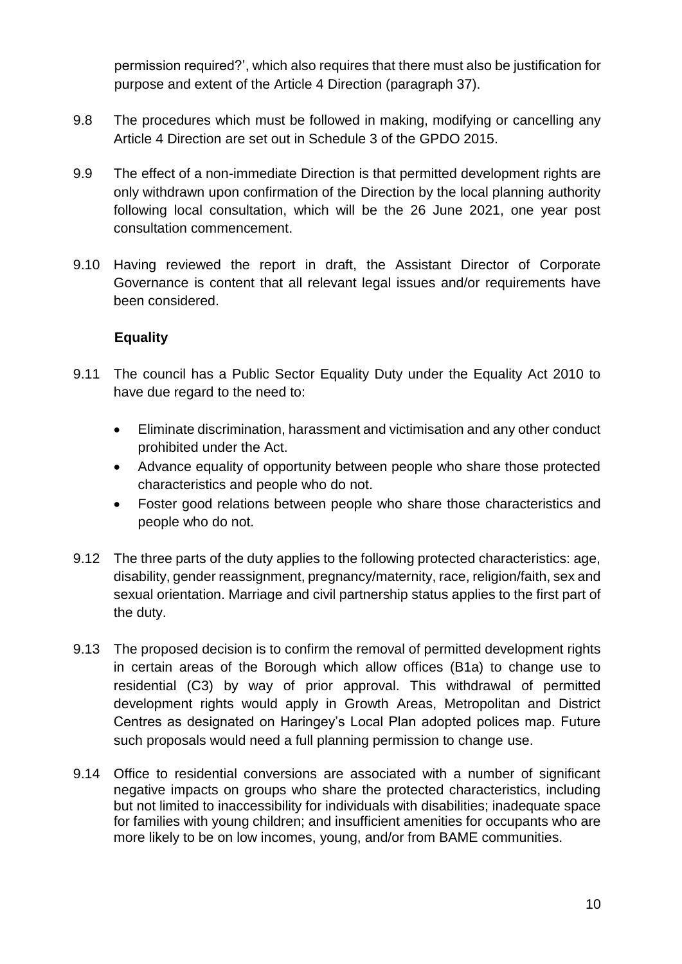permission required?', which also requires that there must also be justification for purpose and extent of the Article 4 Direction (paragraph 37).

- 9.8 The procedures which must be followed in making, modifying or cancelling any Article 4 Direction are set out in Schedule 3 of the GPDO 2015.
- 9.9 The effect of a non-immediate Direction is that permitted development rights are only withdrawn upon confirmation of the Direction by the local planning authority following local consultation, which will be the 26 June 2021, one year post consultation commencement.
- 9.10 Having reviewed the report in draft, the Assistant Director of Corporate Governance is content that all relevant legal issues and/or requirements have been considered.

# **Equality**

- 9.11 The council has a Public Sector Equality Duty under the Equality Act 2010 to have due regard to the need to:
	- Eliminate discrimination, harassment and victimisation and any other conduct prohibited under the Act.
	- Advance equality of opportunity between people who share those protected characteristics and people who do not.
	- Foster good relations between people who share those characteristics and people who do not.
- 9.12 The three parts of the duty applies to the following protected characteristics: age, disability, gender reassignment, pregnancy/maternity, race, religion/faith, sex and sexual orientation. Marriage and civil partnership status applies to the first part of the duty.
- 9.13 The proposed decision is to confirm the removal of permitted development rights in certain areas of the Borough which allow offices (B1a) to change use to residential (C3) by way of prior approval. This withdrawal of permitted development rights would apply in Growth Areas, Metropolitan and District Centres as designated on Haringey's Local Plan adopted polices map. Future such proposals would need a full planning permission to change use.
- 9.14 Office to residential conversions are associated with a number of significant negative impacts on groups who share the protected characteristics, including but not limited to inaccessibility for individuals with disabilities; inadequate space for families with young children; and insufficient amenities for occupants who are more likely to be on low incomes, young, and/or from BAME communities.